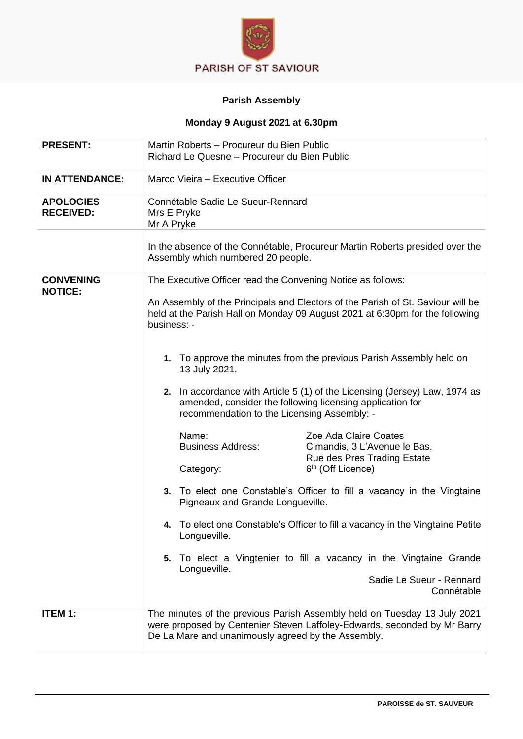

## **Parish Assembly**

## **Monday 9 August 2021 at 6.30pm**

| <b>PRESENT:</b>                      | Martin Roberts - Procureur du Bien Public<br>Richard Le Quesne - Procureur du Bien Public                                                                                                                  |
|--------------------------------------|------------------------------------------------------------------------------------------------------------------------------------------------------------------------------------------------------------|
| <b>IN ATTENDANCE:</b>                | Marco Vieira - Executive Officer                                                                                                                                                                           |
| <b>APOLOGIES</b><br><b>RECEIVED:</b> | Connétable Sadie Le Sueur-Rennard<br>Mrs E Pryke<br>Mr A Pryke                                                                                                                                             |
|                                      | In the absence of the Connétable, Procureur Martin Roberts presided over the<br>Assembly which numbered 20 people.                                                                                         |
| <b>CONVENING</b><br><b>NOTICE:</b>   | The Executive Officer read the Convening Notice as follows:                                                                                                                                                |
|                                      | An Assembly of the Principals and Electors of the Parish of St. Saviour will be<br>held at the Parish Hall on Monday 09 August 2021 at 6:30pm for the following<br>business: -                             |
|                                      | 1. To approve the minutes from the previous Parish Assembly held on<br>13 July 2021.                                                                                                                       |
|                                      | 2. In accordance with Article 5 (1) of the Licensing (Jersey) Law, 1974 as<br>amended, consider the following licensing application for<br>recommendation to the Licensing Assembly: -                     |
|                                      | Name:<br>Zoe Ada Claire Coates<br><b>Business Address:</b><br>Cimandis, 3 L'Avenue le Bas,<br>Rue des Pres Trading Estate<br>6 <sup>th</sup> (Off Licence)<br>Category:                                    |
|                                      | 3. To elect one Constable's Officer to fill a vacancy in the Vingtaine<br>Pigneaux and Grande Longueville.                                                                                                 |
|                                      | 4. To elect one Constable's Officer to fill a vacancy in the Vingtaine Petite<br>Longueville.                                                                                                              |
|                                      | 5. To elect a Vingtenier to fill a vacancy in the Vingtaine Grande<br>Longueville.                                                                                                                         |
|                                      | Sadie Le Sueur - Rennard<br>Connétable                                                                                                                                                                     |
| <b>ITEM 1:</b>                       | The minutes of the previous Parish Assembly held on Tuesday 13 July 2021<br>were proposed by Centenier Steven Laffoley-Edwards, seconded by Mr Barry<br>De La Mare and unanimously agreed by the Assembly. |